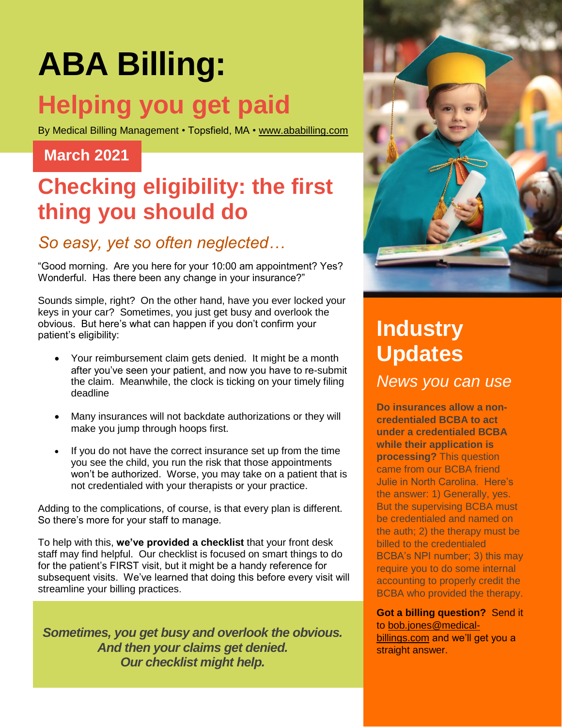# **ABA Billing: Helping you get paid**

By Medical Billing Management • Topsfield, MA • [www.ababilling.com](http://www.ababilling.com/)

#### **March 2021**

# **Checking eligibility: the first thing you should do**

#### *So easy, yet so often neglected…*

"Good morning. Are you here for your 10:00 am appointment? Yes? Wonderful. Has there been any change in your insurance?"

Sounds simple, right? On the other hand, have you ever locked your keys in your car? Sometimes, you just get busy and overlook the obvious. But here's what can happen if you don't confirm your patient's eligibility:

- Your reimbursement claim gets denied. It might be a month after you've seen your patient, and now you have to re-submit the claim. Meanwhile, the clock is ticking on your timely filing deadline
- Many insurances will not backdate authorizations or they will make you jump through hoops first.
- If you do not have the correct insurance set up from the time you see the child, you run the risk that those appointments won't be authorized. Worse, you may take on a patient that is not credentialed with your therapists or your practice.

Adding to the complications, of course, is that every plan is different. So there's more for your staff to manage.

To help with this, **we've provided a checklist** that your front desk staff may find helpful. Our checklist is focused on smart things to do for the patient's FIRST visit, but it might be a handy reference for subsequent visits. We've learned that doing this before every visit will streamline your billing practices.

*Sometimes, you get busy and overlook the obvious. And then your claims get denied. Our checklist might help.*



# **Industry Updates**

*News you can use*

**Do insurances allow a noncredentialed BCBA to act under a credentialed BCBA while their application is processing?** This question came from our BCBA friend Julie in North Carolina. Here's the answer: 1) Generally, yes. But the supervising BCBA must be credentialed and named on the auth; 2) the therapy must be billed to the credentialed BCBA's NPI number; 3) this may require you to do some internal accounting to properly credit the BCBA who provided the therapy.

#### **Got a billing question?** Send it to [bob.jones@medical-](mailto:bob.jones@medical-billings.com)

[billings.com](mailto:bob.jones@medical-billings.com) and we'll get you a straight answer.